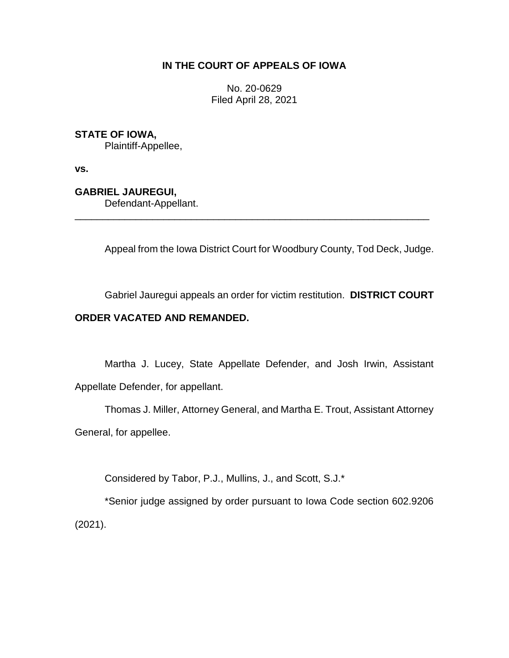## **IN THE COURT OF APPEALS OF IOWA**

No. 20-0629 Filed April 28, 2021

**STATE OF IOWA,**

Plaintiff-Appellee,

**vs.**

**GABRIEL JAUREGUI,**

Defendant-Appellant.

Appeal from the Iowa District Court for Woodbury County, Tod Deck, Judge.

\_\_\_\_\_\_\_\_\_\_\_\_\_\_\_\_\_\_\_\_\_\_\_\_\_\_\_\_\_\_\_\_\_\_\_\_\_\_\_\_\_\_\_\_\_\_\_\_\_\_\_\_\_\_\_\_\_\_\_\_\_\_\_\_

Gabriel Jauregui appeals an order for victim restitution. **DISTRICT COURT** 

# **ORDER VACATED AND REMANDED.**

Martha J. Lucey, State Appellate Defender, and Josh Irwin, Assistant Appellate Defender, for appellant.

Thomas J. Miller, Attorney General, and Martha E. Trout, Assistant Attorney General, for appellee.

Considered by Tabor, P.J., Mullins, J., and Scott, S.J.\*

\*Senior judge assigned by order pursuant to Iowa Code section 602.9206 (2021).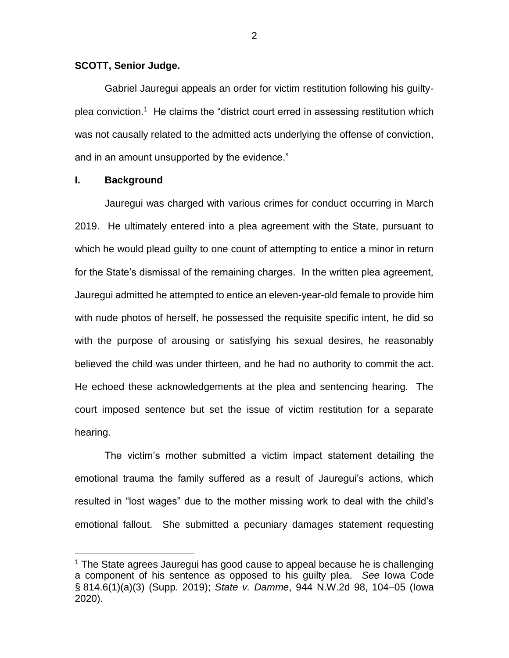#### **SCOTT, Senior Judge.**

Gabriel Jauregui appeals an order for victim restitution following his guiltyplea conviction.<sup>1</sup> He claims the "district court erred in assessing restitution which was not causally related to the admitted acts underlying the offense of conviction, and in an amount unsupported by the evidence."

### **I. Background**

 $\overline{a}$ 

Jauregui was charged with various crimes for conduct occurring in March 2019. He ultimately entered into a plea agreement with the State, pursuant to which he would plead guilty to one count of attempting to entice a minor in return for the State's dismissal of the remaining charges. In the written plea agreement, Jauregui admitted he attempted to entice an eleven-year-old female to provide him with nude photos of herself, he possessed the requisite specific intent, he did so with the purpose of arousing or satisfying his sexual desires, he reasonably believed the child was under thirteen, and he had no authority to commit the act. He echoed these acknowledgements at the plea and sentencing hearing. The court imposed sentence but set the issue of victim restitution for a separate hearing.

The victim's mother submitted a victim impact statement detailing the emotional trauma the family suffered as a result of Jauregui's actions, which resulted in "lost wages" due to the mother missing work to deal with the child's emotional fallout. She submitted a pecuniary damages statement requesting

<sup>1</sup> The State agrees Jauregui has good cause to appeal because he is challenging a component of his sentence as opposed to his guilty plea. *See* Iowa Code § 814.6(1)(a)(3) (Supp. 2019); *State v. Damme*, 944 N.W.2d 98, 104–05 (Iowa 2020).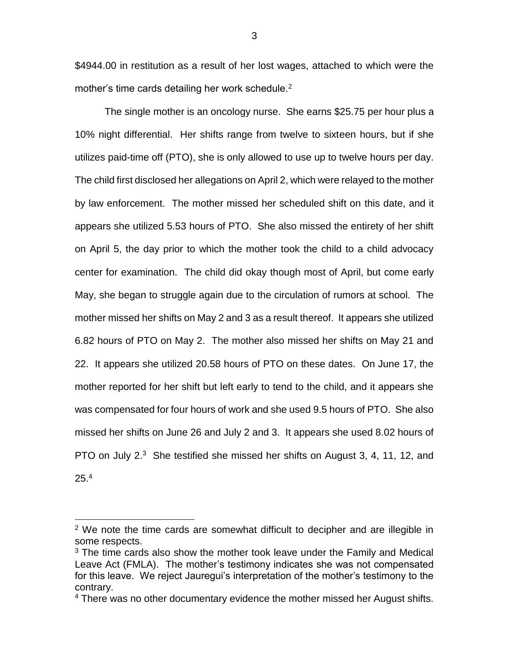\$4944.00 in restitution as a result of her lost wages, attached to which were the mother's time cards detailing her work schedule. $2$ 

The single mother is an oncology nurse. She earns \$25.75 per hour plus a 10% night differential. Her shifts range from twelve to sixteen hours, but if she utilizes paid-time off (PTO), she is only allowed to use up to twelve hours per day. The child first disclosed her allegations on April 2, which were relayed to the mother by law enforcement. The mother missed her scheduled shift on this date, and it appears she utilized 5.53 hours of PTO. She also missed the entirety of her shift on April 5, the day prior to which the mother took the child to a child advocacy center for examination. The child did okay though most of April, but come early May, she began to struggle again due to the circulation of rumors at school. The mother missed her shifts on May 2 and 3 as a result thereof. It appears she utilized 6.82 hours of PTO on May 2. The mother also missed her shifts on May 21 and 22. It appears she utilized 20.58 hours of PTO on these dates. On June 17, the mother reported for her shift but left early to tend to the child, and it appears she was compensated for four hours of work and she used 9.5 hours of PTO. She also missed her shifts on June 26 and July 2 and 3. It appears she used 8.02 hours of PTO on July 2.<sup>3</sup> She testified she missed her shifts on August 3, 4, 11, 12, and  $25.^4$ 

 $\overline{a}$ 

 $2$  We note the time cards are somewhat difficult to decipher and are illegible in some respects.

<sup>&</sup>lt;sup>3</sup> The time cards also show the mother took leave under the Family and Medical Leave Act (FMLA). The mother's testimony indicates she was not compensated for this leave. We reject Jauregui's interpretation of the mother's testimony to the contrary.

<sup>&</sup>lt;sup>4</sup> There was no other documentary evidence the mother missed her August shifts.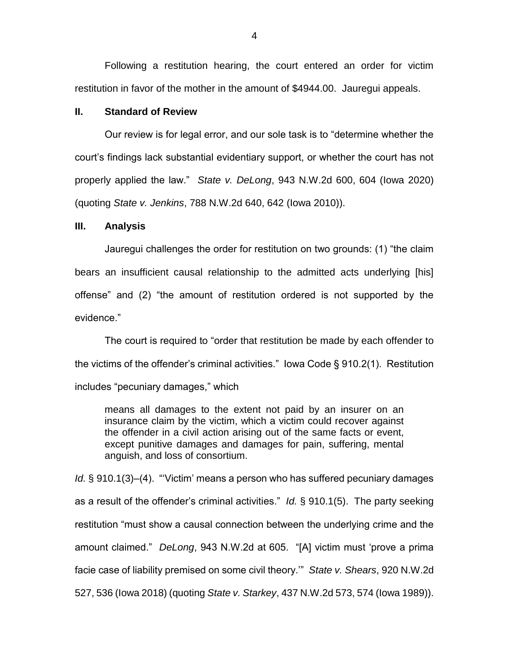Following a restitution hearing, the court entered an order for victim restitution in favor of the mother in the amount of \$4944.00. Jauregui appeals.

### **II. Standard of Review**

Our review is for legal error, and our sole task is to "determine whether the court's findings lack substantial evidentiary support, or whether the court has not properly applied the law." *State v. DeLong*, 943 N.W.2d 600, 604 (Iowa 2020) (quoting *State v. Jenkins*, 788 N.W.2d 640, 642 (Iowa 2010)).

### **III. Analysis**

Jauregui challenges the order for restitution on two grounds: (1) "the claim bears an insufficient causal relationship to the admitted acts underlying [his] offense" and (2) "the amount of restitution ordered is not supported by the evidence."

The court is required to "order that restitution be made by each offender to the victims of the offender's criminal activities." Iowa Code § 910.2(1). Restitution includes "pecuniary damages," which

means all damages to the extent not paid by an insurer on an insurance claim by the victim, which a victim could recover against the offender in a civil action arising out of the same facts or event, except punitive damages and damages for pain, suffering, mental anguish, and loss of consortium.

*Id.* § 910.1(3)–(4). "'Victim' means a person who has suffered pecuniary damages as a result of the offender's criminal activities." *Id.* § 910.1(5). The party seeking restitution "must show a causal connection between the underlying crime and the amount claimed." *DeLong*, 943 N.W.2d at 605. "[A] victim must 'prove a prima facie case of liability premised on some civil theory.'" *State v. Shears*, 920 N.W.2d 527, 536 (Iowa 2018) (quoting *State v. Starkey*, 437 N.W.2d 573, 574 (Iowa 1989)).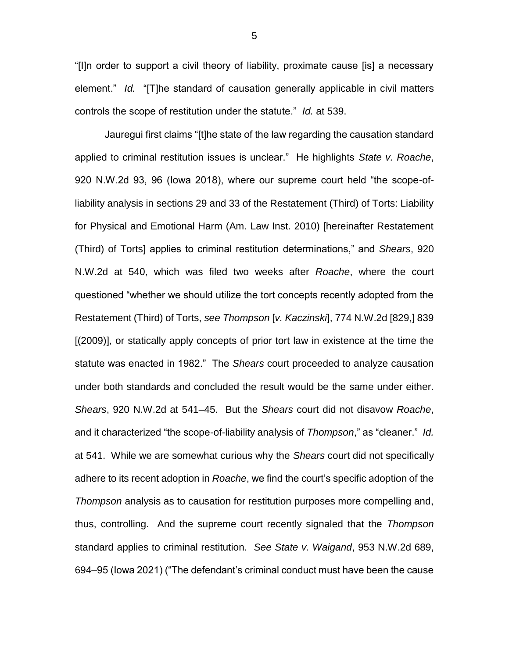"[I]n order to support a civil theory of liability, proximate cause [is] a necessary element." *Id.* "[T]he standard of causation generally applicable in civil matters controls the scope of restitution under the statute." *Id.* at 539.

Jauregui first claims "[t]he state of the law regarding the causation standard applied to criminal restitution issues is unclear." He highlights *State v. Roache*, 920 N.W.2d 93, 96 (Iowa 2018), where our supreme court held "the scope-ofliability analysis in sections 29 and 33 of the Restatement (Third) of Torts: Liability for Physical and Emotional Harm (Am. Law Inst. 2010) [hereinafter Restatement (Third) of Torts] applies to criminal restitution determinations," and *Shears*, 920 N.W.2d at 540, which was filed two weeks after *Roache*, where the court questioned "whether we should utilize the tort concepts recently adopted from the Restatement (Third) of Torts, *see Thompson* [*v. Kaczinski*], 774 N.W.2d [829,] 839 [(2009)], or statically apply concepts of prior tort law in existence at the time the statute was enacted in 1982." The *Shears* court proceeded to analyze causation under both standards and concluded the result would be the same under either. *Shears*, 920 N.W.2d at 541–45. But the *Shears* court did not disavow *Roache*, and it characterized "the scope-of-liability analysis of *Thompson*," as "cleaner." *Id.* at 541. While we are somewhat curious why the *Shears* court did not specifically adhere to its recent adoption in *Roache*, we find the court's specific adoption of the *Thompson* analysis as to causation for restitution purposes more compelling and, thus, controlling. And the supreme court recently signaled that the *Thompson*  standard applies to criminal restitution. *See State v. Waigand*, 953 N.W.2d 689, 694–95 (Iowa 2021) ("The defendant's criminal conduct must have been the cause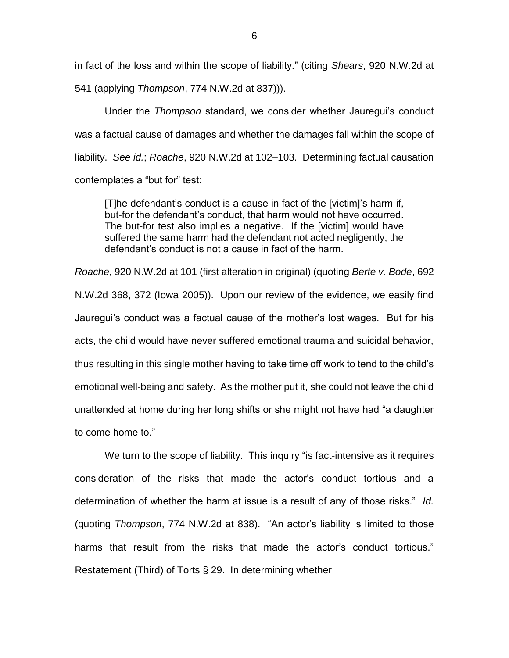in fact of the loss and within the scope of liability." (citing *Shears*, 920 N.W.2d at 541 (applying *Thompson*, 774 N.W.2d at 837))).

Under the *Thompson* standard, we consider whether Jauregui's conduct was a factual cause of damages and whether the damages fall within the scope of liability. *See id.*; *Roache*, 920 N.W.2d at 102–103. Determining factual causation contemplates a "but for" test:

[T]he defendant's conduct is a cause in fact of the [victim]'s harm if, but-for the defendant's conduct, that harm would not have occurred. The but-for test also implies a negative. If the [victim] would have suffered the same harm had the defendant not acted negligently, the defendant's conduct is not a cause in fact of the harm.

*Roache*, 920 N.W.2d at 101 (first alteration in original) (quoting *Berte v. Bode*, 692 N.W.2d 368, 372 (Iowa 2005)). Upon our review of the evidence, we easily find Jauregui's conduct was a factual cause of the mother's lost wages. But for his acts, the child would have never suffered emotional trauma and suicidal behavior, thus resulting in this single mother having to take time off work to tend to the child's emotional well-being and safety. As the mother put it, she could not leave the child unattended at home during her long shifts or she might not have had "a daughter to come home to."

We turn to the scope of liability. This inquiry "is fact-intensive as it requires consideration of the risks that made the actor's conduct tortious and a determination of whether the harm at issue is a result of any of those risks." *Id.* (quoting *Thompson*, 774 N.W.2d at 838). "An actor's liability is limited to those harms that result from the risks that made the actor's conduct tortious." Restatement (Third) of Torts § 29. In determining whether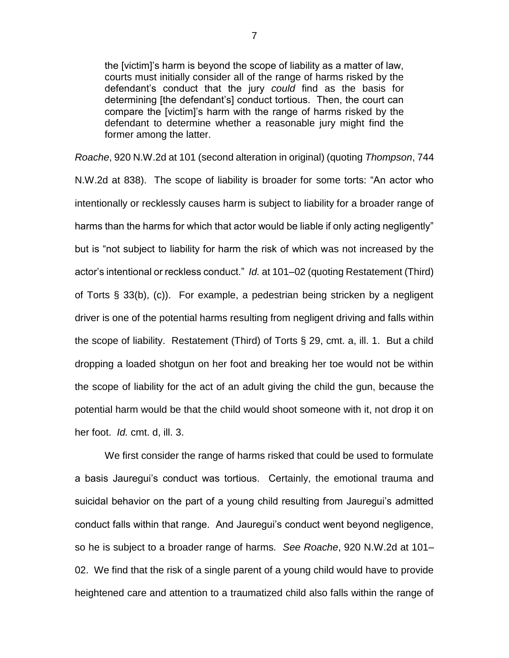the [victim]'s harm is beyond the scope of liability as a matter of law, courts must initially consider all of the range of harms risked by the defendant's conduct that the jury *could* find as the basis for determining [the defendant's] conduct tortious. Then, the court can compare the [victim]'s harm with the range of harms risked by the defendant to determine whether a reasonable jury might find the former among the latter.

*Roache*, 920 N.W.2d at 101 (second alteration in original) (quoting *Thompson*, 744 N.W.2d at 838). The scope of liability is broader for some torts: "An actor who intentionally or recklessly causes harm is subject to liability for a broader range of harms than the harms for which that actor would be liable if only acting negligently" but is "not subject to liability for harm the risk of which was not increased by the actor's intentional or reckless conduct." *Id.* at 101–02 (quoting Restatement (Third) of Torts § 33(b), (c)). For example, a pedestrian being stricken by a negligent driver is one of the potential harms resulting from negligent driving and falls within the scope of liability. Restatement (Third) of Torts § 29, cmt. a, ill. 1. But a child dropping a loaded shotgun on her foot and breaking her toe would not be within the scope of liability for the act of an adult giving the child the gun, because the potential harm would be that the child would shoot someone with it, not drop it on her foot. *Id.* cmt. d, ill. 3.

We first consider the range of harms risked that could be used to formulate a basis Jauregui's conduct was tortious. Certainly, the emotional trauma and suicidal behavior on the part of a young child resulting from Jauregui's admitted conduct falls within that range. And Jauregui's conduct went beyond negligence, so he is subject to a broader range of harms. *See Roache*, 920 N.W.2d at 101– 02. We find that the risk of a single parent of a young child would have to provide heightened care and attention to a traumatized child also falls within the range of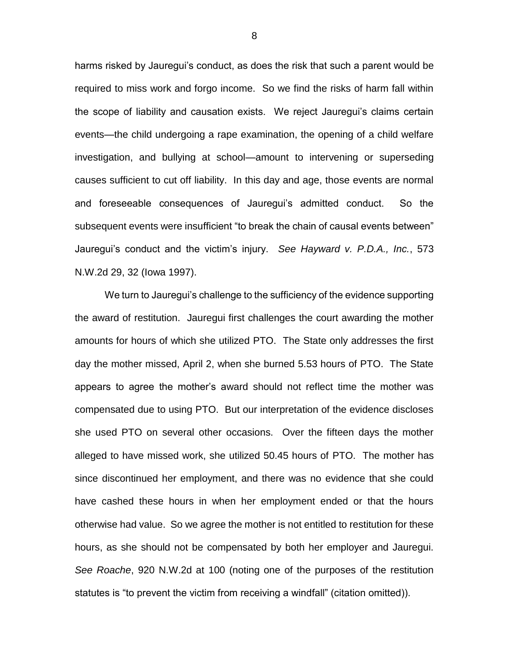harms risked by Jauregui's conduct, as does the risk that such a parent would be required to miss work and forgo income. So we find the risks of harm fall within the scope of liability and causation exists. We reject Jauregui's claims certain events—the child undergoing a rape examination, the opening of a child welfare investigation, and bullying at school—amount to intervening or superseding causes sufficient to cut off liability. In this day and age, those events are normal and foreseeable consequences of Jauregui's admitted conduct. So the subsequent events were insufficient "to break the chain of causal events between" Jauregui's conduct and the victim's injury. *See Hayward v. P.D.A., Inc.*, 573 N.W.2d 29, 32 (Iowa 1997).

We turn to Jauregui's challenge to the sufficiency of the evidence supporting the award of restitution. Jauregui first challenges the court awarding the mother amounts for hours of which she utilized PTO. The State only addresses the first day the mother missed, April 2, when she burned 5.53 hours of PTO. The State appears to agree the mother's award should not reflect time the mother was compensated due to using PTO. But our interpretation of the evidence discloses she used PTO on several other occasions. Over the fifteen days the mother alleged to have missed work, she utilized 50.45 hours of PTO. The mother has since discontinued her employment, and there was no evidence that she could have cashed these hours in when her employment ended or that the hours otherwise had value. So we agree the mother is not entitled to restitution for these hours, as she should not be compensated by both her employer and Jauregui. *See Roache*, 920 N.W.2d at 100 (noting one of the purposes of the restitution statutes is "to prevent the victim from receiving a windfall" (citation omitted)).